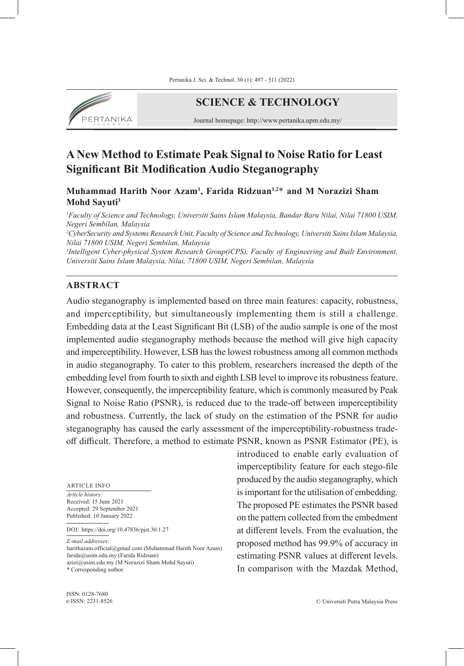

# **SCIENCE & TECHNOLOGY**

Journal homepage: http://www.pertanika.upm.edu.my/

# **A New Method to Estimate Peak Signal to Noise Ratio for Least Significant Bit Modification Audio Steganography**

**Muhammad Harith Noor Azam<sup>1</sup> , Farida Ridzuan1,2**\* **and M Norazizi Sham Mohd Sayuti<sup>3</sup>**

*1 Faculty of Science and Technology, Universiti Sains Islam Malaysia, Bandar Baru Nilai, Nilai 71800 USIM, Negeri Sembilan, Malaysia*

*2 CyberSecurity and Systems Research Unit, Faculty of Science and Technology, Universiti Sains Islam Malaysia, Nilai 71800 USIM, Negeri Sembilan, Malaysia*

*3 Intelligent Cyber-physical System Research Group(iCPS), Faculty of Engineering and Built Environment, Universiti Sains Islam Malaysia, Nilai, 71800 USIM, Negeri Sembilan, Malaysia*

#### **ABSTRACT**

Audio steganography is implemented based on three main features: capacity, robustness, and imperceptibility, but simultaneously implementing them is still a challenge. Embedding data at the Least Significant Bit (LSB) of the audio sample is one of the most implemented audio steganography methods because the method will give high capacity and imperceptibility. However, LSB has the lowest robustness among all common methods in audio steganography. To cater to this problem, researchers increased the depth of the embedding level from fourth to sixth and eighth LSB level to improve its robustness feature. However, consequently, the imperceptibility feature, which is commonly measured by Peak Signal to Noise Ratio (PSNR), is reduced due to the trade-off between imperceptibility and robustness. Currently, the lack of study on the estimation of the PSNR for audio steganography has caused the early assessment of the imperceptibility-robustness tradeoff difficult. Therefore, a method to estimate PSNR, known as PSNR Estimator (PE), is

ARTICLE INFO

*Article history:* Received: 15 June 2021 Accepted: 29 September 2021 Published: 10 January 2022

DOI: https://doi.org/10.47836/pjst.30.1.27

*E-mail addresses*:

harithazam.official@gmail.com (Muhammad Harith Noor Azam) farida@usim.edu.my (Farida Ridzuan) azizi@usim.edu.my (M Norazizi Sham Mohd Sayuti) \* Corresponding author

introduced to enable early evaluation of imperceptibility feature for each stego-file produced by the audio steganography, which is important for the utilisation of embedding. The proposed PE estimates the PSNR based on the pattern collected from the embedment at different levels. From the evaluation, the proposed method has 99.9% of accuracy in estimating PSNR values at different levels. In comparison with the Mazdak Method,

ISSN: 0128-7680 e-ISSN: 2231-8526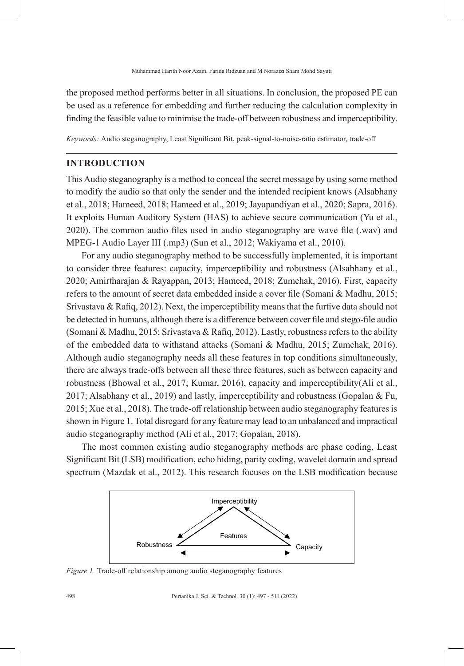the proposed method performs better in all situations. In conclusion, the proposed PE can be used as a reference for embedding and further reducing the calculation complexity in finding the feasible value to minimise the trade-off between robustness and imperceptibility.

*Keywords:* Audio steganography, Least Significant Bit, peak-signal-to-noise-ratio estimator, trade-off

#### **INTRODUCTION**

This Audio steganography is a method to conceal the secret message by using some method to modify the audio so that only the sender and the intended recipient knows (Alsabhany et al., 2018; Hameed, 2018; Hameed et al., 2019; Jayapandiyan et al., 2020; Sapra, 2016). It exploits Human Auditory System (HAS) to achieve secure communication (Yu et al., 2020). The common audio files used in audio steganography are wave file (.wav) and MPEG-1 Audio Layer III (.mp3) (Sun et al., 2012; Wakiyama et al., 2010).

For any audio steganography method to be successfully implemented, it is important to consider three features: capacity, imperceptibility and robustness (Alsabhany et al., 2020; Amirtharajan & Rayappan, 2013; Hameed, 2018; Zumchak, 2016). First, capacity refers to the amount of secret data embedded inside a cover file (Somani & Madhu, 2015; Srivastava & Rafiq, 2012). Next, the imperceptibility means that the furtive data should not be detected in humans, although there is a difference between cover file and stego-file audio (Somani & Madhu, 2015; Srivastava & Rafiq, 2012). Lastly, robustness refers to the ability of the embedded data to withstand attacks (Somani & Madhu, 2015; Zumchak, 2016). Although audio steganography needs all these features in top conditions simultaneously, there are always trade-offs between all these three features, such as between capacity and robustness (Bhowal et al., 2017; Kumar, 2016), capacity and imperceptibility(Ali et al.,  $2017$ ; Alsabhany et al.,  $2019$ ) and lastly, imperceptibility and robustness (Gopalan & Fu, 2015; Xue et al., 2018). The trade-off relationship between audio steganography features is shown in Figure 1. Total disregard for any feature may lead to an unbalanced and impractical audio steganography method (Ali et al., 2017; Gopalan, 2018).

The most common existing audio steganography methods are phase coding, Least Significant Bit (LSB) modification, echo hiding, parity coding, wavelet domain and spread spectrum (Mazdak et al., 2012). This research focuses on the LSB modification because



*Figure 1.* Trade-off relationship among audio steganography features

498 Pertanika J. Sci. & Technol. 30 (1): 497 - 511 (2022)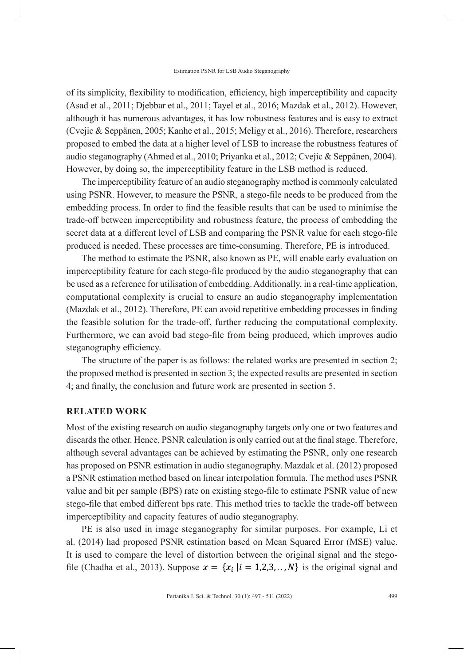of its simplicity, flexibility to modification, efficiency, high imperceptibility and capacity (Asad et al., 2011; Djebbar et al., 2011; Tayel et al., 2016; Mazdak et al., 2012). However, although it has numerous advantages, it has low robustness features and is easy to extract (Cvejic & Seppänen, 2005; Kanhe et al., 2015; Meligy et al., 2016). Therefore, researchers proposed to embed the data at a higher level of LSB to increase the robustness features of audio steganography (Ahmed et al., 2010; Priyanka et al., 2012; Cvejic & Seppänen, 2004). However, by doing so, the imperceptibility feature in the LSB method is reduced.

The imperceptibility feature of an audio steganography method is commonly calculated using PSNR. However, to measure the PSNR, a stego-file needs to be produced from the embedding process. In order to find the feasible results that can be used to minimise the trade-off between imperceptibility and robustness feature, the process of embedding the secret data at a different level of LSB and comparing the PSNR value for each stego-file produced is needed. These processes are time-consuming. Therefore, PE is introduced.

The method to estimate the PSNR, also known as PE, will enable early evaluation on imperceptibility feature for each stego-file produced by the audio steganography that can be used as a reference for utilisation of embedding. Additionally, in a real-time application, computational complexity is crucial to ensure an audio steganography implementation (Mazdak et al., 2012). Therefore, PE can avoid repetitive embedding processes in finding the feasible solution for the trade-off, further reducing the computational complexity. Furthermore, we can avoid bad stego-file from being produced, which improves audio steganography efficiency.

The structure of the paper is as follows: the related works are presented in section 2; the proposed method is presented in section 3; the expected results are presented in section 4; and finally, the conclusion and future work are presented in section 5.

### **RELATED WORK**

Most of the existing research on audio steganography targets only one or two features and discards the other. Hence, PSNR calculation is only carried out at the final stage. Therefore, although several advantages can be achieved by estimating the PSNR, only one research has proposed on PSNR estimation in audio steganography. Mazdak et al. (2012) proposed a PSNR estimation method based on linear interpolation formula. The method uses PSNR value and bit per sample (BPS) rate on existing stego-file to estimate PSNR value of new stego-file that embed different bps rate. This method tries to tackle the trade-off between imperceptibility and capacity features of audio steganography.

PE is also used in image steganography for similar purposes. For example, Li et al. (2014) had proposed PSNR estimation based on Mean Squared Error (MSE) value. It is used to compare the level of distortion between the original signal and the stegofile (Chadha et al., 2013). Suppose  $x = \{x_i | i = 1, 2, 3, \ldots, N\}$  is the original signal and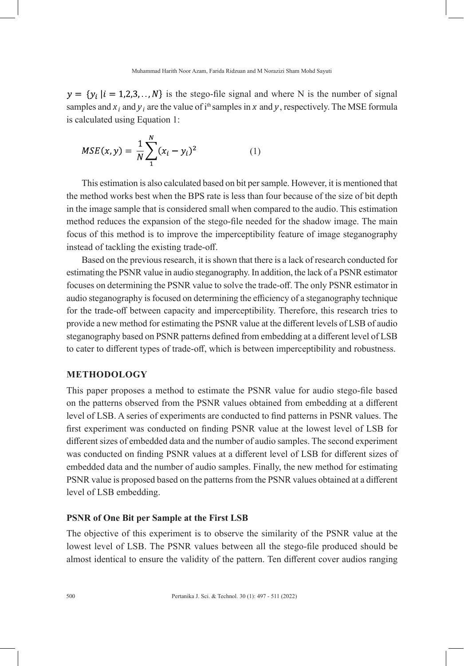$y = \{y_i | i = 1, 2, 3, \dots, N\}$  is the stego-file signal and where N is the number of signal samples and  $x_i$  and  $y_i$  are the value of i<sup>th</sup> samples in *x* and *y*, respectively. The MSE formula is calculated using Equation 1:

$$
MSE(x, y) = \frac{1}{N} \sum_{1}^{N} (x_i - y_i)^2
$$
 (1)

This estimation is also calculated based on bit per sample. However, it is mentioned that the method works best when the BPS rate is less than four because of the size of bit depth in the image sample that is considered small when compared to the audio. This estimation method reduces the expansion of the stego-file needed for the shadow image. The main focus of this method is to improve the imperceptibility feature of image steganography instead of tackling the existing trade-off.

Based on the previous research, it is shown that there is a lack of research conducted for estimating the PSNR value in audio steganography. In addition, the lack of a PSNR estimator focuses on determining the PSNR value to solve the trade-off. The only PSNR estimator in audio steganography is focused on determining the efficiency of a steganography technique for the trade-off between capacity and imperceptibility. Therefore, this research tries to provide a new method for estimating the PSNR value at the different levels of LSB of audio steganography based on PSNR patterns defined from embedding at a different level of LSB to cater to different types of trade-off, which is between imperceptibility and robustness.

#### **METHODOLOGY**

This paper proposes a method to estimate the PSNR value for audio stego-file based on the patterns observed from the PSNR values obtained from embedding at a different level of LSB. A series of experiments are conducted to find patterns in PSNR values. The first experiment was conducted on finding PSNR value at the lowest level of LSB for different sizes of embedded data and the number of audio samples. The second experiment was conducted on finding PSNR values at a different level of LSB for different sizes of embedded data and the number of audio samples. Finally, the new method for estimating PSNR value is proposed based on the patterns from the PSNR values obtained at a different level of LSB embedding.

## **PSNR of One Bit per Sample at the First LSB**

The objective of this experiment is to observe the similarity of the PSNR value at the lowest level of LSB. The PSNR values between all the stego-file produced should be almost identical to ensure the validity of the pattern. Ten different cover audios ranging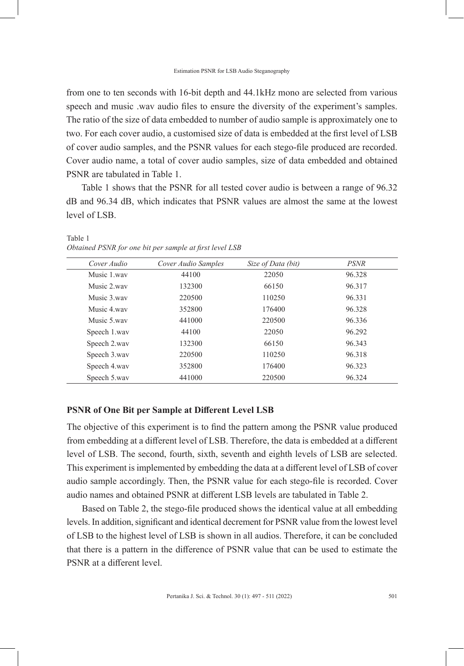from one to ten seconds with 16-bit depth and 44.1kHz mono are selected from various speech and music .wav audio files to ensure the diversity of the experiment's samples. The ratio of the size of data embedded to number of audio sample is approximately one to two. For each cover audio, a customised size of data is embedded at the first level of LSB of cover audio samples, and the PSNR values for each stego-file produced are recorded. Cover audio name, a total of cover audio samples, size of data embedded and obtained PSNR are tabulated in Table 1.

Table 1 shows that the PSNR for all tested cover audio is between a range of 96.32 dB and 96.34 dB, which indicates that PSNR values are almost the same at the lowest level of LSB.

| Cover Audio  | Cover Audio Samples | Size of Data (bit) | <i>PSNR</i> |
|--------------|---------------------|--------------------|-------------|
| Music 1.way  | 44100               | 22050              | 96.328      |
| Music 2.way  | 132300              | 66150              | 96.317      |
| Music 3 way  | 220500              | 110250             | 96.331      |
| Music 4 way  | 352800              | 176400             | 96.328      |
| Music 5 way  | 441000              | 220500             | 96.336      |
| Speech 1.wav | 44100               | 22050              | 96.292      |
| Speech 2.wav | 132300              | 66150              | 96.343      |
| Speech 3.wav | 220500              | 110250             | 96.318      |
| Speech 4.wav | 352800              | 176400             | 96.323      |
| Speech 5.wav | 441000              | 220500             | 96.324      |

#### Table 1 *Obtained PSNR for one bit per sample at first level LSB*

#### **PSNR of One Bit per Sample at Different Level LSB**

The objective of this experiment is to find the pattern among the PSNR value produced from embedding at a different level of LSB. Therefore, the data is embedded at a different level of LSB. The second, fourth, sixth, seventh and eighth levels of LSB are selected. This experiment is implemented by embedding the data at a different level of LSB of cover audio sample accordingly. Then, the PSNR value for each stego-file is recorded. Cover audio names and obtained PSNR at different LSB levels are tabulated in Table 2.

Based on Table 2, the stego-file produced shows the identical value at all embedding levels. In addition, significant and identical decrement for PSNR value from the lowest level of LSB to the highest level of LSB is shown in all audios. Therefore, it can be concluded that there is a pattern in the difference of PSNR value that can be used to estimate the PSNR at a different level.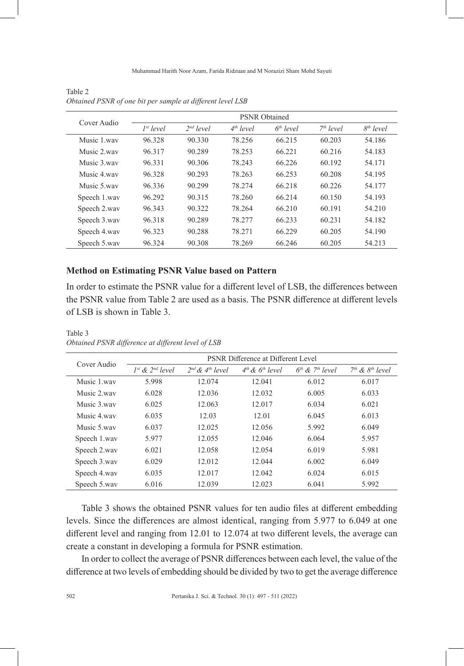| Cover Audio  |                |                       | <b>PSNR</b> Obtained |             |                       |             |
|--------------|----------------|-----------------------|----------------------|-------------|-----------------------|-------------|
|              | $I^{st}$ level | 2 <sup>nd</sup> level | $4th$ level          | $6th$ level | 7 <sup>th</sup> level | $8th$ level |
| Music 1 way  | 96.328         | 90.330                | 78.256               | 66.215      | 60.203                | 54.186      |
| Music 2 way  | 96.317         | 90.289                | 78.253               | 66.221      | 60.216                | 54.183      |
| Music 3 way  | 96.331         | 90.306                | 78.243               | 66.226      | 60.192                | 54.171      |
| Music 4 way  | 96.328         | 90.293                | 78.263               | 66.253      | 60.208                | 54.195      |
| Music 5.way  | 96.336         | 90.299                | 78.274               | 66.218      | 60.226                | 54.177      |
| Speech 1.wav | 96.292         | 90.315                | 78.260               | 66.214      | 60.150                | 54.193      |
| Speech 2.wav | 96.343         | 90.322                | 78.264               | 66.210      | 60.191                | 54.210      |
| Speech 3.wav | 96.318         | 90.289                | 78.277               | 66.233      | 60.231                | 54.182      |
| Speech 4.wav | 96.323         | 90.288                | 78.271               | 66.229      | 60.205                | 54.190      |
| Speech 5.wav | 96.324         | 90.308                | 78.269               | 66.246      | 60.205                | 54.213      |

Table 2 *Obtained PSNR of one bit per sample at different level LSB*

### **Method on Estimating PSNR Value based on Pattern**

In order to estimate the PSNR value for a different level of LSB, the differences between the PSNR value from Table 2 are used as a basis. The PSNR difference at different levels of LSB is shown in Table 3.

| Cover Audio  |                           |                           | <b>PSNR Difference at Different Level</b> |                               |                     |
|--------------|---------------------------|---------------------------|-------------------------------------------|-------------------------------|---------------------|
|              | $I^{st}$ & $2^{nd}$ level | $2^{nd}$ & $4^{th}$ level | $4th$ & $6th$ level                       | $6th$ & 7 <sup>th</sup> level | $7th$ & $8th$ level |
| Music 1 way  | 5.998                     | 12.074                    | 12.041                                    | 6.012                         | 6.017               |
| Music 2 way  | 6.028                     | 12.036                    | 12.032                                    | 6.005                         | 6.033               |
| Music 3 way  | 6.025                     | 12.063                    | 12.017                                    | 6.034                         | 6.021               |
| Music 4 way  | 6.035                     | 12.03                     | 12.01                                     | 6.045                         | 6.013               |
| Music 5 way  | 6.037                     | 12.025                    | 12.056                                    | 5.992                         | 6.049               |
| Speech 1.wav | 5.977                     | 12.055                    | 12.046                                    | 6.064                         | 5.957               |
| Speech 2.wav | 6.021                     | 12.058                    | 12.054                                    | 6.019                         | 5.981               |
| Speech 3.wav | 6.029                     | 12.012                    | 12.044                                    | 6.002                         | 6.049               |
| Speech 4.wav | 6.035                     | 12.017                    | 12.042                                    | 6.024                         | 6.015               |
| Speech 5.wav | 6.016                     | 12.039                    | 12.023                                    | 6.041                         | 5.992               |

Table 3 *Obtained PSNR difference at different level of LSB*

Table 3 shows the obtained PSNR values for ten audio files at different embedding levels. Since the differences are almost identical, ranging from 5.977 to 6.049 at one different level and ranging from 12.01 to 12.074 at two different levels, the average can create a constant in developing a formula for PSNR estimation.

In order to collect the average of PSNR differences between each level, the value of the difference at two levels of embedding should be divided by two to get the average difference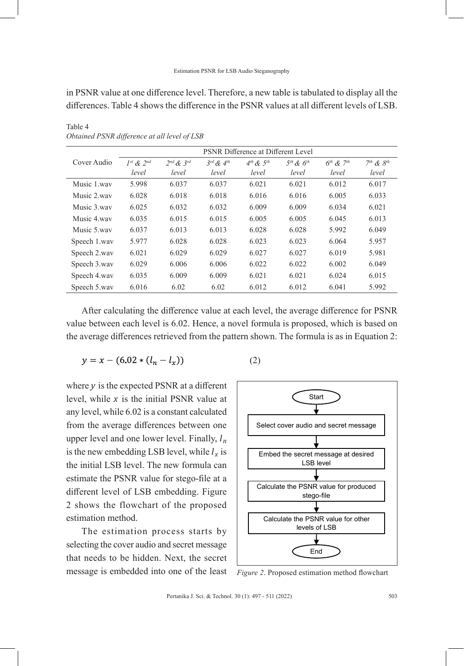#### Estimation PSNR for LSB Audio Steganography

in PSNR value at one difference level. Therefore, a new table is tabulated to display all the differences. Table 4 shows the difference in the PSNR values at all different levels of LSB.

|              | <b>PSNR Difference at Different Level</b> |                     |                     |               |               |               |               |
|--------------|-------------------------------------------|---------------------|---------------------|---------------|---------------|---------------|---------------|
| Cover Audio  | $I^{st}$ & $2^{nd}$                       | $2^{nd}$ & $3^{rd}$ | $3^{rd}$ & $4^{th}$ | $4th$ & $5th$ | $5th$ & $6th$ | $6th$ & $7th$ | $7th$ & $8th$ |
|              | level                                     | level               | level               | level         | level         | level         | level         |
| Music 1 way  | 5.998                                     | 6.037               | 6.037               | 6.021         | 6.021         | 6.012         | 6.017         |
| Music 2 way  | 6.028                                     | 6.018               | 6.018               | 6.016         | 6.016         | 6.005         | 6.033         |
| Music 3 way  | 6.025                                     | 6.032               | 6.032               | 6.009         | 6.009         | 6.034         | 6.021         |
| Music 4 way  | 6.035                                     | 6.015               | 6.015               | 6.005         | 6.005         | 6.045         | 6.013         |
| Music 5.way  | 6.037                                     | 6.013               | 6.013               | 6.028         | 6.028         | 5.992         | 6.049         |
| Speech 1.wav | 5.977                                     | 6.028               | 6.028               | 6.023         | 6.023         | 6.064         | 5.957         |
| Speech 2.wav | 6.021                                     | 6.029               | 6.029               | 6.027         | 6.027         | 6.019         | 5.981         |
| Speech 3.wav | 6.029                                     | 6.006               | 6.006               | 6.022         | 6.022         | 6.002         | 6.049         |
| Speech 4.wav | 6.035                                     | 6.009               | 6.009               | 6.021         | 6.021         | 6.024         | 6.015         |
| Speech 5.wav | 6.016                                     | 6.02                | 6.02                | 6.012         | 6.012         | 6.041         | 5.992         |

Table 4 *Obtained PSNR difference at all level of LSB*

After calculating the difference value at each level, the average difference for PSNR value between each level is 6.02. Hence, a novel formula is proposed, which is based on the average differences retrieved from the pattern shown. The formula is as in Equation 2:

$$
y = x - (6.02 * (l_n - l_x))
$$

where *y* is the expected PSNR at a different level, while *x* is the initial PSNR value at any level, while 6.02 is a constant calculated from the average differences between one upper level and one lower level. Finally, *l <sup>n</sup>* is the new embedding LSB level, while  $l_x$  is the initial LSB level. The new formula can estimate the PSNR value for stego-file at a different level of LSB embedding. Figure 2 shows the flowchart of the proposed estimation method.

The estimation process starts by selecting the cover audio and secret message that needs to be hidden. Next, the secret message is embedded into one of the least





*Figure 2*. Proposed estimation method flowchart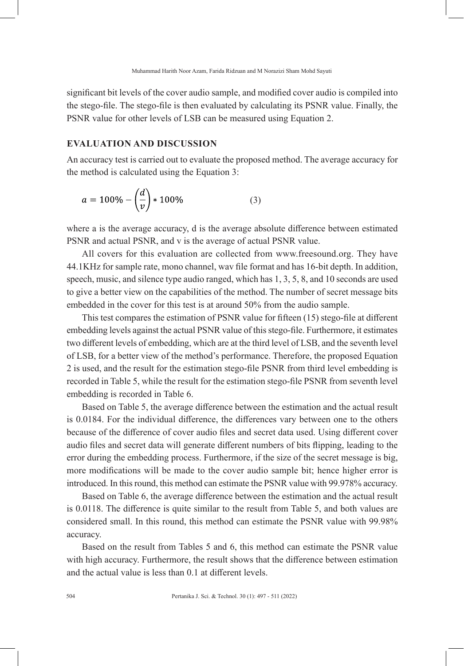significant bit levels of the cover audio sample, and modified cover audio is compiled into the stego-file. The stego-file is then evaluated by calculating its PSNR value. Finally, the PSNR value for other levels of LSB can be measured using Equation 2.

# **EVALUATION AND DISCUSSION**

An accuracy test is carried out to evaluate the proposed method. The average accuracy for the method is calculated using the Equation 3:

$$
a = 100\% - \left(\frac{d}{v}\right) * 100\% \tag{3}
$$

where a is the average accuracy, d is the average absolute difference between estimated PSNR and actual PSNR, and v is the average of actual PSNR value.

All covers for this evaluation are collected from www.freesound.org. They have 44.1KHz for sample rate, mono channel, wav file format and has 16-bit depth. In addition, speech, music, and silence type audio ranged, which has 1, 3, 5, 8, and 10 seconds are used to give a better view on the capabilities of the method. The number of secret message bits embedded in the cover for this test is at around 50% from the audio sample.

This test compares the estimation of PSNR value for fifteen (15) stego-file at different embedding levels against the actual PSNR value of this stego-file. Furthermore, it estimates two different levels of embedding, which are at the third level of LSB, and the seventh level of LSB, for a better view of the method's performance. Therefore, the proposed Equation 2 is used, and the result for the estimation stego-file PSNR from third level embedding is recorded in Table 5, while the result for the estimation stego-file PSNR from seventh level embedding is recorded in Table 6.

Based on Table 5, the average difference between the estimation and the actual result is 0.0184. For the individual difference, the differences vary between one to the others because of the difference of cover audio files and secret data used. Using different cover audio files and secret data will generate different numbers of bits flipping, leading to the error during the embedding process. Furthermore, if the size of the secret message is big, more modifications will be made to the cover audio sample bit; hence higher error is introduced. In this round, this method can estimate the PSNR value with 99.978% accuracy.

Based on Table 6, the average difference between the estimation and the actual result is 0.0118. The difference is quite similar to the result from Table 5, and both values are considered small. In this round, this method can estimate the PSNR value with 99.98% accuracy.

Based on the result from Tables 5 and 6, this method can estimate the PSNR value with high accuracy. Furthermore, the result shows that the difference between estimation and the actual value is less than 0.1 at different levels.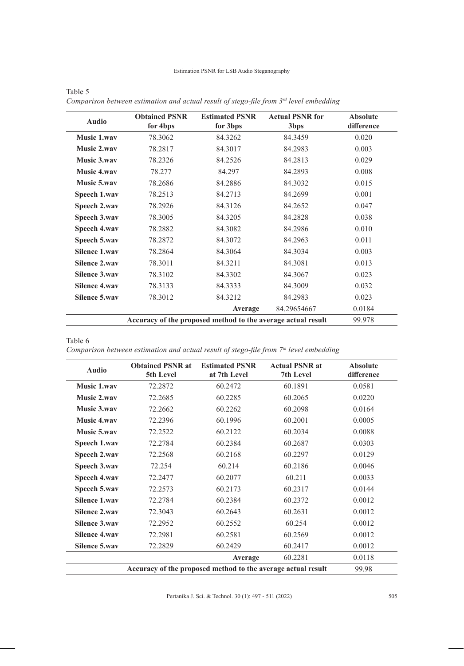#### Estimation PSNR for LSB Audio Steganography

| <b>Audio</b>         | <b>Obtained PSNR</b><br>for 4bps | <b>Estimated PSNR</b><br>for 3bps | <b>Actual PSNR for</b><br>3 <sub>bps</sub> | <b>Absolute</b><br>difference |
|----------------------|----------------------------------|-----------------------------------|--------------------------------------------|-------------------------------|
| Music 1.wav          | 78.3062                          | 84.3262                           | 84.3459                                    | 0.020                         |
| Music 2.way          | 78.2817                          | 84.3017                           | 84.2983                                    | 0.003                         |
| Music 3.way          | 78.2326                          | 84.2526                           | 84.2813                                    | 0.029                         |
| <b>Music 4.wav</b>   | 78.277                           | 84.297                            | 84.2893                                    | 0.008                         |
| <b>Music 5.way</b>   | 78.2686                          | 84.2886                           | 84.3032                                    | 0.015                         |
| Speech 1.wav         | 78.2513                          | 84.2713                           | 84.2699                                    | 0.001                         |
| Speech 2.wav         | 78.2926                          | 84.3126                           | 84.2652                                    | 0.047                         |
| Speech 3.wav         | 78.3005                          | 84.3205                           | 84.2828                                    | 0.038                         |
| Speech 4.wav         | 78.2882                          | 84.3082                           | 84.2986                                    | 0.010                         |
| Speech 5.wav         | 78.2872                          | 84.3072                           | 84.2963                                    | 0.011                         |
| Silence 1.wav        | 78.2864                          | 84.3064                           | 84.3034                                    | 0.003                         |
| Silence 2.wav        | 78.3011                          | 84.3211                           | 84.3081                                    | 0.013                         |
| <b>Silence 3.wav</b> | 78.3102                          | 84.3302                           | 84.3067                                    | 0.023                         |
| <b>Silence 4.wav</b> | 78.3133                          | 84.3333                           | 84.3009                                    | 0.032                         |
| Silence 5.way        | 78.3012                          | 84.3212                           | 84.2983                                    | 0.023                         |
|                      |                                  | Average                           | 84.29654667                                | 0.0184                        |
|                      | 99.978                           |                                   |                                            |                               |

| Table 5                                                                                  |  |
|------------------------------------------------------------------------------------------|--|
| Comparison between estimation and actual result of stego-file from $3rd$ level embedding |  |

Table 6

*Comparison between estimation and actual result of stego-file from 7th level embedding*

| <b>Audio</b>         | <b>Obtained PSNR at</b><br>5th Level | <b>Estimated PSNR</b><br>at 7th Level | <b>Actual PSNR at</b><br>7th Level | <b>Absolute</b><br>difference |
|----------------------|--------------------------------------|---------------------------------------|------------------------------------|-------------------------------|
| <b>Music 1.wav</b>   | 72.2872                              | 60.2472                               | 60.1891                            | 0.0581                        |
| <b>Music 2.wav</b>   | 72.2685                              | 60.2285                               | 60.2065                            | 0.0220                        |
| <b>Music 3.way</b>   | 72.2662                              | 60.2262                               | 60.2098                            | 0.0164                        |
| <b>Music 4.wav</b>   | 72.2396                              | 60.1996                               | 60.2001                            | 0.0005                        |
| <b>Music 5.way</b>   | 72.2522                              | 60.2122                               | 60.2034                            | 0.0088                        |
| Speech 1.wav         | 72.2784                              | 60.2384                               | 60.2687                            | 0.0303                        |
| Speech 2.wav         | 72.2568                              | 60.2168                               | 60.2297                            | 0.0129                        |
| Speech 3.wav         | 72.254                               | 60.214                                | 60.2186                            | 0.0046                        |
| Speech 4.wav         | 72.2477                              | 60.2077                               | 60.211                             | 0.0033                        |
| Speech 5.wav         | 72.2573                              | 60.2173                               | 60.2317                            | 0.0144                        |
| <b>Silence 1.wav</b> | 72.2784                              | 60.2384                               | 60.2372                            | 0.0012                        |
| <b>Silence 2.wav</b> | 72.3043                              | 60.2643                               | 60.2631                            | 0.0012                        |
| <b>Silence 3.wav</b> | 72.2952                              | 60.2552                               | 60.254                             | 0.0012                        |
| <b>Silence 4.wav</b> | 72.2981                              | 60.2581                               | 60.2569                            | 0.0012                        |
| Silence 5.way        | 72.2829                              | 60.2429                               | 60.2417                            | 0.0012                        |
|                      |                                      | Average                               | 60.2281                            | 0.0118                        |
|                      | 99.98                                |                                       |                                    |                               |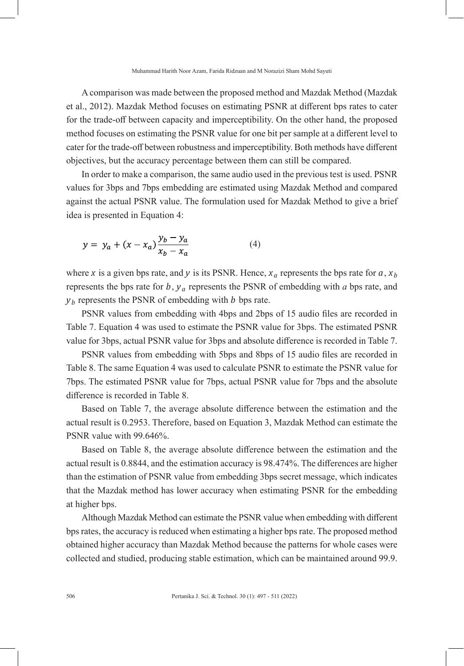A comparison was made between the proposed method and Mazdak Method (Mazdak et al., 2012). Mazdak Method focuses on estimating PSNR at different bps rates to cater for the trade-off between capacity and imperceptibility. On the other hand, the proposed method focuses on estimating the PSNR value for one bit per sample at a different level to cater for the trade-off between robustness and imperceptibility. Both methods have different objectives, but the accuracy percentage between them can still be compared.

In order to make a comparison, the same audio used in the previous test is used. PSNR values for 3bps and 7bps embedding are estimated using Mazdak Method and compared against the actual PSNR value. The formulation used for Mazdak Method to give a brief idea is presented in Equation 4:

$$
y = y_a + (x - x_a) \frac{y_b - y_a}{x_b - x_a}
$$
 (4)

where *x* is a given bps rate, and *y* is its PSNR. Hence,  $x_a$  represents the bps rate for  $a, x_b$ represents the bps rate for  $b$ ,  $y_a$  represents the PSNR of embedding with  $a$  bps rate, and *y <sup>b</sup>* represents the PSNR of embedding with *b* bps rate.

PSNR values from embedding with 4bps and 2bps of 15 audio files are recorded in Table 7. Equation 4 was used to estimate the PSNR value for 3bps. The estimated PSNR value for 3bps, actual PSNR value for 3bps and absolute difference is recorded in Table 7.

PSNR values from embedding with 5bps and 8bps of 15 audio files are recorded in Table 8. The same Equation 4 was used to calculate PSNR to estimate the PSNR value for 7bps. The estimated PSNR value for 7bps, actual PSNR value for 7bps and the absolute difference is recorded in Table 8.

Based on Table 7, the average absolute difference between the estimation and the actual result is 0.2953. Therefore, based on Equation 3, Mazdak Method can estimate the PSNR value with 99.646%.

Based on Table 8, the average absolute difference between the estimation and the actual result is 0.8844, and the estimation accuracy is 98.474%. The differences are higher than the estimation of PSNR value from embedding 3bps secret message, which indicates that the Mazdak method has lower accuracy when estimating PSNR for the embedding at higher bps.

Although Mazdak Method can estimate the PSNR value when embedding with different bps rates, the accuracy is reduced when estimating a higher bps rate. The proposed method obtained higher accuracy than Mazdak Method because the patterns for whole cases were collected and studied, producing stable estimation, which can be maintained around 99.9.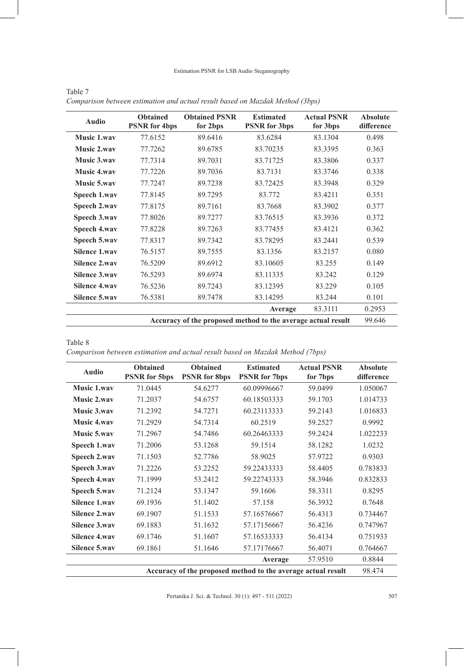#### Estimation PSNR for LSB Audio Steganography

| <b>Audio</b>                                                 | <b>Obtained</b><br><b>PSNR</b> for 4bps | <b>Obtained PSNR</b><br>for 2bps | <b>Estimated</b><br><b>PSNR</b> for 3bps | <b>Actual PSNR</b><br>for 3bps | <b>Absolute</b><br>difference |  |
|--------------------------------------------------------------|-----------------------------------------|----------------------------------|------------------------------------------|--------------------------------|-------------------------------|--|
| <b>Music 1.wav</b>                                           | 77.6152                                 | 89.6416                          | 83.6284                                  | 83.1304                        | 0.498                         |  |
| Music 2.wav                                                  | 77.7262                                 | 89.6785                          | 83.70235                                 | 83.3395                        | 0.363                         |  |
| Music 3.wav                                                  | 77.7314                                 | 89.7031                          | 83.71725                                 | 83.3806                        | 0.337                         |  |
| <b>Music 4.wav</b>                                           | 77.7226                                 | 89.7036                          | 83.7131                                  | 83.3746                        | 0.338                         |  |
| Music 5.wav                                                  | 77.7247                                 | 89.7238                          | 83.72425                                 | 83.3948                        | 0.329                         |  |
| Speech 1.wav                                                 | 77.8145                                 | 89.7295                          | 83.772                                   | 83.4211                        | 0.351                         |  |
| Speech 2.wav                                                 | 77.8175                                 | 89.7161                          | 83.7668                                  | 83.3902                        | 0.377                         |  |
| Speech 3.wav                                                 | 77.8026                                 | 89.7277                          | 83.76515                                 | 83.3936                        | 0.372                         |  |
| Speech 4.wav                                                 | 77.8228                                 | 89.7263                          | 83.77455                                 | 83.4121                        | 0.362                         |  |
| Speech 5.wav                                                 | 77.8317                                 | 89.7342                          | 83.78295                                 | 83.2441                        | 0.539                         |  |
| <b>Silence 1.wav</b>                                         | 76.5157                                 | 89.7555                          | 83.1356                                  | 83.2157                        | 0.080                         |  |
| <b>Silence 2.wav</b>                                         | 76.5209                                 | 89.6912                          | 83.10605                                 | 83.255                         | 0.149                         |  |
| <b>Silence 3.wav</b>                                         | 76.5293                                 | 89.6974                          | 83.11335                                 | 83.242                         | 0.129                         |  |
| <b>Silence 4.wav</b>                                         | 76.5236                                 | 89.7243                          | 83.12395                                 | 83.229                         | 0.105                         |  |
| Silence 5.way                                                | 76.5381                                 | 89.7478                          | 83.14295                                 | 83.244                         | 0.101                         |  |
|                                                              |                                         |                                  | Average                                  | 83.3111                        | 0.2953                        |  |
| Accuracy of the proposed method to the average actual result |                                         |                                  |                                          |                                |                               |  |

| Table 7                                                                       |  |
|-------------------------------------------------------------------------------|--|
| Comparison between estimation and actual result based on Mazdak Method (3bps) |  |

Table 8

*Comparison between estimation and actual result based on Mazdak Method (7bps)*

| <b>Audio</b>                                                 | <b>Obtained</b><br><b>PSNR</b> for 5bps | <b>Obtained</b><br><b>PSNR</b> for 8bps | <b>Estimated</b><br><b>PSNR</b> for 7bps | <b>Actual PSNR</b><br>for 7bps | <b>Absolute</b><br>difference |
|--------------------------------------------------------------|-----------------------------------------|-----------------------------------------|------------------------------------------|--------------------------------|-------------------------------|
| Music 1.wav                                                  | 71.0445                                 | 54.6277                                 | 60.09996667                              | 59.0499                        | 1.050067                      |
| Music 2.way                                                  | 71.2037                                 | 54.6757                                 | 60.18503333                              | 59.1703                        | 1.014733                      |
| <b>Music 3.wav</b>                                           | 71.2392                                 | 54.7271                                 | 60.23113333                              | 59.2143                        | 1.016833                      |
| <b>Music 4.wav</b>                                           | 71.2929                                 | 54.7314                                 | 60.2519                                  | 59.2527                        | 0.9992                        |
| <b>Music 5.way</b>                                           | 71.2967                                 | 54.7486                                 | 60.26463333                              | 59.2424                        | 1.022233                      |
| Speech 1.wav                                                 | 71.2006                                 | 53.1268                                 | 59.1514                                  | 58.1282                        | 1.0232                        |
| Speech 2.wav                                                 | 71.1503                                 | 52.7786                                 | 58.9025                                  | 57.9722                        | 0.9303                        |
| Speech 3.wav                                                 | 71.2226                                 | 53.2252                                 | 59.22433333                              | 58.4405                        | 0.783833                      |
| Speech 4.wav                                                 | 71.1999                                 | 53.2412                                 | 59.22743333                              | 58.3946                        | 0.832833                      |
| Speech 5.wav                                                 | 71.2124                                 | 53.1347                                 | 59.1606                                  | 58.3311                        | 0.8295                        |
| <b>Silence 1.wav</b>                                         | 69.1936                                 | 51.1402                                 | 57.158                                   | 56.3932                        | 0.7648                        |
| <b>Silence 2.wav</b>                                         | 69.1907                                 | 51.1533                                 | 57.16576667                              | 56.4313                        | 0.734467                      |
| <b>Silence 3.wav</b>                                         | 69.1883                                 | 51.1632                                 | 57.17156667                              | 56.4236                        | 0.747967                      |
| <b>Silence 4.wav</b>                                         | 69.1746                                 | 51.1607                                 | 57.16533333                              | 56.4134                        | 0.751933                      |
| <b>Silence 5.wav</b>                                         | 69.1861                                 | 51.1646                                 | 57.17176667                              | 56.4071                        | 0.764667                      |
|                                                              |                                         |                                         | Average                                  | 57.9510                        | 0.8844                        |
| Accuracy of the proposed method to the average actual result |                                         |                                         |                                          |                                |                               |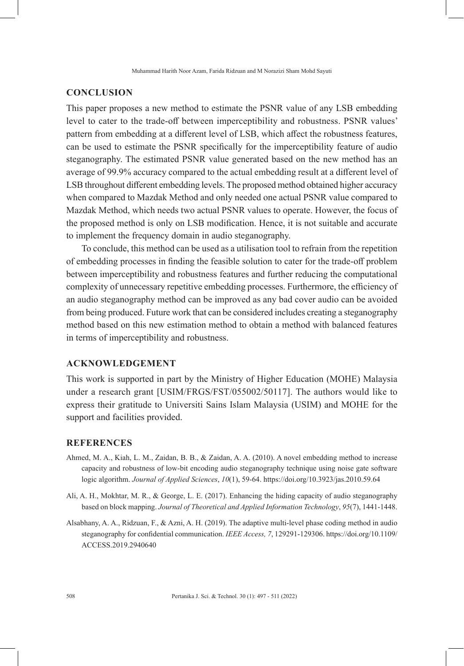### **CONCLUSION**

This paper proposes a new method to estimate the PSNR value of any LSB embedding level to cater to the trade-off between imperceptibility and robustness. PSNR values' pattern from embedding at a different level of LSB, which affect the robustness features, can be used to estimate the PSNR specifically for the imperceptibility feature of audio steganography. The estimated PSNR value generated based on the new method has an average of 99.9% accuracy compared to the actual embedding result at a different level of LSB throughout different embedding levels. The proposed method obtained higher accuracy when compared to Mazdak Method and only needed one actual PSNR value compared to Mazdak Method, which needs two actual PSNR values to operate. However, the focus of the proposed method is only on LSB modification. Hence, it is not suitable and accurate to implement the frequency domain in audio steganography.

To conclude, this method can be used as a utilisation tool to refrain from the repetition of embedding processes in finding the feasible solution to cater for the trade-off problem between imperceptibility and robustness features and further reducing the computational complexity of unnecessary repetitive embedding processes. Furthermore, the efficiency of an audio steganography method can be improved as any bad cover audio can be avoided from being produced. Future work that can be considered includes creating a steganography method based on this new estimation method to obtain a method with balanced features in terms of imperceptibility and robustness.

### **ACKNOWLEDGEMENT**

This work is supported in part by the Ministry of Higher Education (MOHE) Malaysia under a research grant [USIM/FRGS/FST/055002/50117]. The authors would like to express their gratitude to Universiti Sains Islam Malaysia (USIM) and MOHE for the support and facilities provided.

### **REFERENCES**

- Ahmed, M. A., Kiah, L. M., Zaidan, B. B., & Zaidan, A. A. (2010). A novel embedding method to increase capacity and robustness of low-bit encoding audio steganography technique using noise gate software logic algorithm. *Journal of Applied Sciences*, *10*(1), 59-64. https://doi.org/10.3923/jas.2010.59.64
- Ali, A. H., Mokhtar, M. R., & George, L. E. (2017). Enhancing the hiding capacity of audio steganography based on block mapping. *Journal of Theoretical and Applied Information Technology*, *95*(7), 1441-1448.
- Alsabhany, A. A., Ridzuan, F., & Azni, A. H. (2019). The adaptive multi-level phase coding method in audio steganography for confidential communication. *IEEE Access, 7*, 129291-129306. https://doi.org/10.1109/ ACCESS.2019.2940640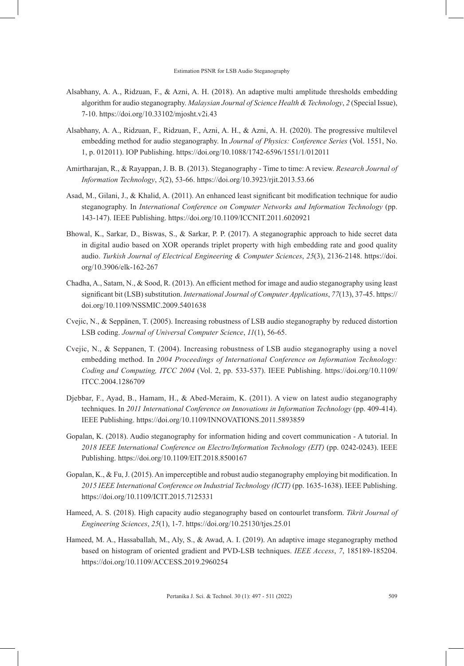- Alsabhany, A. A., Ridzuan, F., & Azni, A. H. (2018). An adaptive multi amplitude thresholds embedding algorithm for audio steganography. *Malaysian Journal of Science Health & Technology*, *2* (Special Issue), 7-10. https://doi.org/10.33102/mjosht.v2i.43
- Alsabhany, A. A., Ridzuan, F., Ridzuan, F., Azni, A. H., & Azni, A. H. (2020). The progressive multilevel embedding method for audio steganography. In *Journal of Physics: Conference Series* (Vol. 1551, No. 1, p. 012011). IOP Publishing. https://doi.org/10.1088/1742-6596/1551/1/012011
- Amirtharajan, R., & Rayappan, J. B. B. (2013). Steganography Time to time: A review. *Research Journal of Information Technology*, *5*(2), 53-66. https://doi.org/10.3923/rjit.2013.53.66
- Asad, M., Gilani, J., & Khalid, A. (2011). An enhanced least significant bit modification technique for audio steganography. In *International Conference on Computer Networks and Information Technology* (pp. 143-147). IEEE Publishing. https://doi.org/10.1109/ICCNIT.2011.6020921
- Bhowal, K., Sarkar, D., Biswas, S., & Sarkar, P. P. (2017). A steganographic approach to hide secret data in digital audio based on XOR operands triplet property with high embedding rate and good quality audio. *Turkish Journal of Electrical Engineering & Computer Sciences*, *25*(3), 2136-2148. https://doi. org/10.3906/elk-162-267
- Chadha, A., Satam, N., & Sood, R. (2013). An efficient method for image and audio steganography using least significant bit (LSB) substitution. *International Journal of Computer Applications*, *77*(13), 37-45. https:// doi.org/10.1109/NSSMIC.2009.5401638
- Cvejic, N., & Seppänen, T. (2005). Increasing robustness of LSB audio steganography by reduced distortion LSB coding. *Journal of Universal Computer Science*, *11*(1), 56-65.
- Cvejic, N., & Seppanen, T. (2004). Increasing robustness of LSB audio steganography using a novel embedding method. In *2004 Proceedings of International Conference on Information Technology: Coding and Computing, ITCC 2004* (Vol. 2, pp. 533-537). IEEE Publishing. https://doi.org/10.1109/ ITCC.2004.1286709
- Djebbar, F., Ayad, B., Hamam, H., & Abed-Meraim, K. (2011). A view on latest audio steganography techniques. In *2011 International Conference on Innovations in Information Technology* (pp. 409-414). IEEE Publishing. https://doi.org/10.1109/INNOVATIONS.2011.5893859
- Gopalan, K. (2018). Audio steganography for information hiding and covert communication A tutorial. In *2018 IEEE International Conference on Electro/Information Technology (EIT)* (pp. 0242-0243). IEEE Publishing. https://doi.org/10.1109/EIT.2018.8500167
- Gopalan, K., & Fu, J. (2015). An imperceptible and robust audio steganography employing bit modification. In *2015 IEEE International Conference on Industrial Technology (ICIT)* (pp. 1635-1638). IEEE Publishing. https://doi.org/10.1109/ICIT.2015.7125331
- Hameed, A. S. (2018). High capacity audio steganography based on contourlet transform. *Tikrit Journal of Engineering Sciences*, *25*(1), 1-7. https://doi.org/10.25130/tjes.25.01
- Hameed, M. A., Hassaballah, M., Aly, S., & Awad, A. I. (2019). An adaptive image steganography method based on histogram of oriented gradient and PVD-LSB techniques. *IEEE Access*, *7*, 185189-185204. https://doi.org/10.1109/ACCESS.2019.2960254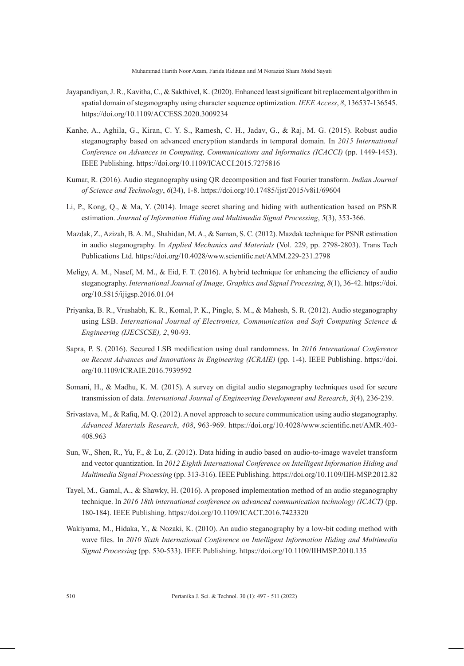Muhammad Harith Noor Azam, Farida Ridzuan and M Norazizi Sham Mohd Sayuti

- Jayapandiyan, J. R., Kavitha, C., & Sakthivel, K. (2020). Enhanced least significant bit replacement algorithm in spatial domain of steganography using character sequence optimization. *IEEE Access*, *8*, 136537-136545. https://doi.org/10.1109/ACCESS.2020.3009234
- Kanhe, A., Aghila, G., Kiran, C. Y. S., Ramesh, C. H., Jadav, G., & Raj, M. G. (2015). Robust audio steganography based on advanced encryption standards in temporal domain. In *2015 International*  Conference on Advances in Computing, Communications and Informatics (ICACCI) (pp. 1449-1453). IEEE Publishing. https://doi.org/10.1109/ICACCI.2015.7275816
- Kumar, R. (2016). Audio steganography using QR decomposition and fast Fourier transform. *Indian Journal of Science and Technology*, *6*(34), 1-8. https://doi.org/10.17485/ijst/2015/v8i1/69604
- Li, P., Kong, Q., & Ma, Y. (2014). Image secret sharing and hiding with authentication based on PSNR estimation. *Journal of Information Hiding and Multimedia Signal Processing*, *5*(3), 353-366.
- Mazdak, Z., Azizah, B. A. M., Shahidan, M. A., & Saman, S. C. (2012). Mazdak technique for PSNR estimation in audio steganography. In *Applied Mechanics and Materials* (Vol. 229, pp. 2798-2803). Trans Tech Publications Ltd. https://doi.org/10.4028/www.scientific.net/AMM.229-231.2798
- Meligy, A. M., Nasef, M. M., & Eid, F. T. (2016). A hybrid technique for enhancing the efficiency of audio steganography. *International Journal of Image, Graphics and Signal Processing*, *8*(1), 36-42. https://doi. org/10.5815/ijigsp.2016.01.04
- Priyanka, B. R., Vrushabh, K. R., Komal, P. K., Pingle, S. M., & Mahesh, S. R. (2012). Audio steganography using LSB. *International Journal of Electronics, Communication and Soft Computing Science & Engineering (IJECSCSE), 2*, 90-93.
- Sapra, P. S. (2016). Secured LSB modification using dual randomness. In *2016 International Conference on Recent Advances and Innovations in Engineering (ICRAIE)* (pp. 1-4). IEEE Publishing. https://doi. org/10.1109/ICRAIE.2016.7939592
- Somani, H., & Madhu, K. M. (2015). A survey on digital audio steganography techniques used for secure transmission of data. *International Journal of Engineering Development and Research*, *3*(4), 236-239.
- Srivastava, M., & Rafiq, M. Q. (2012). A novel approach to secure communication using audio steganography. *Advanced Materials Research*, *408*, 963-969. https://doi.org/10.4028/www.scientific.net/AMR.403- 408.963
- Sun, W., Shen, R., Yu, F., & Lu, Z. (2012). Data hiding in audio based on audio-to-image wavelet transform and vector quantization. In *2012 Eighth International Conference on Intelligent Information Hiding and Multimedia Signal Processing* (pp. 313-316). IEEE Publishing. https://doi.org/10.1109/IIH-MSP.2012.82
- Tayel, M., Gamal, A., & Shawky, H. (2016). A proposed implementation method of an audio steganography technique. In *2016 18th international conference on advanced communication technology (ICACT)* (pp. 180-184). IEEE Publishing. https://doi.org/10.1109/ICACT.2016.7423320
- Wakiyama, M., Hidaka, Y., & Nozaki, K. (2010). An audio steganography by a low-bit coding method with wave files. In *2010 Sixth International Conference on Intelligent Information Hiding and Multimedia Signal Processing* (pp. 530-533). IEEE Publishing. https://doi.org/10.1109/IIHMSP.2010.135